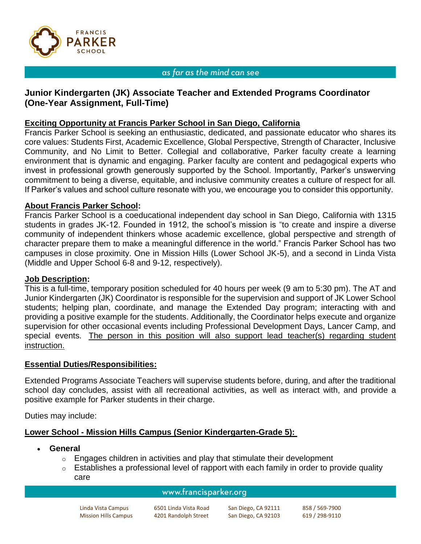

### as far as the mind can see

# **Junior Kindergarten (JK) Associate Teacher and Extended Programs Coordinator (One-Year Assignment, Full-Time)**

### **Exciting Opportunity at Francis Parker School in San Diego, California**

Francis Parker School is seeking an enthusiastic, dedicated, and passionate educator who shares its core values: Students First, Academic Excellence, Global Perspective, Strength of Character, Inclusive Community, and No Limit to Better. Collegial and collaborative, Parker faculty create a learning environment that is dynamic and engaging. Parker faculty are content and pedagogical experts who invest in professional growth generously supported by the School. Importantly, Parker's unswerving commitment to being a diverse, equitable, and inclusive community creates a culture of respect for all. If Parker's values and school culture resonate with you, we encourage you to consider this opportunity.

### **About Francis Parker School:**

Francis Parker School is a coeducational independent day school in San Diego, California with 1315 students in grades JK-12. Founded in 1912, the school's mission is "to create and inspire a diverse community of independent thinkers whose academic excellence, global perspective and strength of character prepare them to make a meaningful difference in the world." Francis Parker School has two campuses in close proximity. One in Mission Hills (Lower School JK-5), and a second in Linda Vista (Middle and Upper School 6-8 and 9-12, respectively).

#### **Job Description:**

This is a full-time, temporary position scheduled for 40 hours per week (9 am to 5:30 pm). The AT and Junior Kindergarten (JK) Coordinator is responsible for the supervision and support of JK Lower School students; helping plan, coordinate, and manage the Extended Day program; interacting with and providing a positive example for the students. Additionally, the Coordinator helps execute and organize supervision for other occasional events including Professional Development Days, Lancer Camp, and special events. The person in this position will also support lead teacher(s) regarding student instruction.

#### **Essential Duties/Responsibilities:**

Extended Programs Associate Teachers will supervise students before, during, and after the traditional school day concludes, assist with all recreational activities, as well as interact with, and provide a positive example for Parker students in their charge.

Duties may include:

### **Lower School - Mission Hills Campus (Senior Kindergarten-Grade 5):**

- **General**
	- $\circ$  Engages children in activities and play that stimulate their development
	- $\circ$  Establishes a professional level of rapport with each family in order to provide quality care

#### www.francisparker.org

Linda Vista Campus 6501 Linda Vista Road San Diego, CA 92111 858 / 569-7900 Mission Hills Campus 4201 Randolph Street San Diego, CA 92103 619 / 298-9110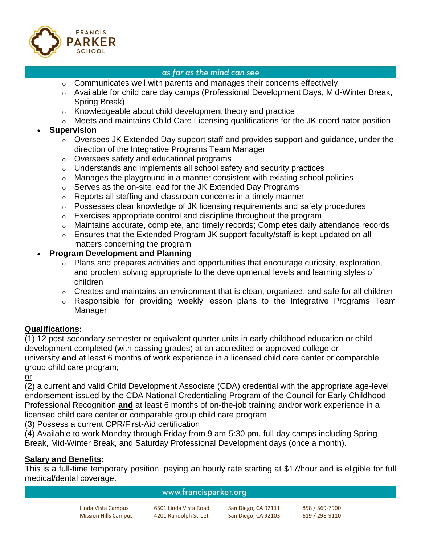

## as far as the mind can see

- $\circ$  Communicates well with parents and manages their concerns effectively
- o Available for child care day camps (Professional Development Days, Mid-Winter Break, Spring Break)
- o Knowledgeable about child development theory and practice
- o Meets and maintains Child Care Licensing qualifications for the JK coordinator position

# • **Supervision**

- o Oversees JK Extended Day support staff and provides support and guidance, under the direction of the Integrative Programs Team Manager
- o Oversees safety and educational programs
- o Understands and implements all school safety and security practices
- $\circ$  Manages the playground in a manner consistent with existing school policies
- o Serves as the on-site lead for the JK Extended Day Programs
- o Reports all staffing and classroom concerns in a timely manner
- $\circ$  Possesses clear knowledge of JK licensing requirements and safety procedures
- o Exercises appropriate control and discipline throughout the program
- o Maintains accurate, complete, and timely records; Completes daily attendance records
- o Ensures that the Extended Program JK support faculty/staff is kept updated on all matters concerning the program

# • **Program Development and Planning**

- o Plans and prepares activities and opportunities that encourage curiosity, exploration, and problem solving appropriate to the developmental levels and learning styles of children
- $\circ$  Creates and maintains an environment that is clean, organized, and safe for all children
- o Responsible for providing weekly lesson plans to the Integrative Programs Team Manager

# **Qualifications:**

(1) 12 post-secondary semester or equivalent quarter units in early childhood education or child development completed (with passing grades) at an accredited or approved college or university **and** at least 6 months of work experience in a licensed child care center or comparable group child care program;

or

(2) a current and valid Child Development Associate (CDA) credential with the appropriate age-level endorsement issued by the CDA National Credentialing Program of the Council for Early Childhood Professional Recognition **and** at least 6 months of on-the-job training and/or work experience in a licensed child care center or comparable group child care program

(3) Possess a current CPR/First-Aid certification

(4) Available to work Monday through Friday from 9 am-5:30 pm, full-day camps including Spring Break, Mid-Winter Break, and Saturday Professional Development days (once a month).

# **Salary and Benefits:**

This is a full-time temporary position, paying an hourly rate starting at \$17/hour and is eligible for full medical/dental coverage.

## www.francisparker.org

| Linda Vista Campus          | 6501 Linda Vista Road | San Diego, CA 92111 | 858 / 569-7900 |
|-----------------------------|-----------------------|---------------------|----------------|
| <b>Mission Hills Campus</b> | 4201 Randolph Street  | San Diego, CA 92103 | 619 / 298-9110 |